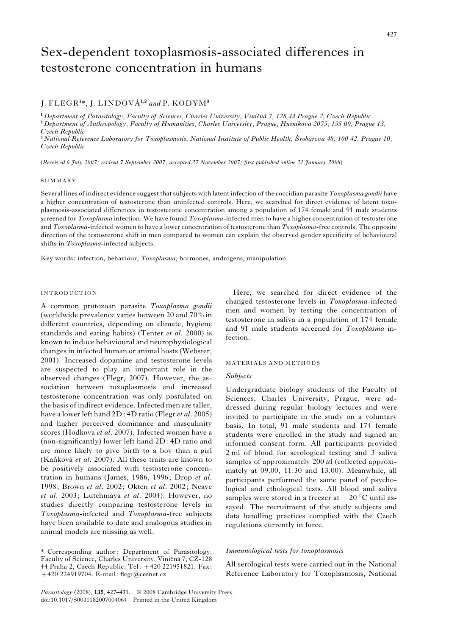# Sex-dependent toxoplasmosis-associated differences in testosterone concentration in humans

# J. FLEGR<sup>1</sup>\*, J. LINDOVÁ<sup>1,2</sup> and P. KODYM<sup>3</sup>

<sup>1</sup> Department of Parasitology, Faculty of Sciences, Charles University, Viničná 7, 128 44 Prague 2, Czech Republic <sup>2</sup> Department of Anthropology, Faculty of Humanities, Charles University, Prague, Husnikova 2075, 155 00, Prague 13, Czech Republic

<sup>3</sup> National Reference Laboratory for Toxoplasmosis, National Institute of Public Health, Šrobárova 48, 100 42, Prague 10, Czech Republic

(Received 6 July 2007; revised 7 September 2007; accepted 27 November 2007; first published online 21 January 2008)

#### SUMMARY

Several lines of indirect evidence suggest that subjects with latent infection of the coccidian parasite Toxoplasma gondii have a higher concentration of testosterone than uninfected controls. Here, we searched for direct evidence of latent toxoplasmosis-associated differences in testosterone concentration among a population of 174 female and 91 male students screened for Toxoplasma infection. We have found Toxoplasma-infected men to have a higher concentration of testosterone and Toxoplasma-infected women to have a lower concentration of testosterone than Toxoplasma-free controls. The opposite direction of the testosterone shift in men compared to women can explain the observed gender specificity of behavioural shifts in Toxoplasma-infected subjects.

Key words: infection, behaviour, Toxoplasma, hormones, androgens, manipulation.

# INTRODUCTION

A common protozoan parasite Toxoplasma gondii (worldwide prevalence varies between 20 and 70% in different countries, depending on climate, hygiene standards and eating habits) (Tenter et al. 2000) is known to induce behavioural and neurophysiological changes in infected human or animal hosts (Webster, 2001). Increased dopamine and testosterone levels are suspected to play an important role in the observed changes (Flegr, 2007). However, the association between toxoplasmosis and increased testosterone concentration was only postulated on the basis of indirect evidence. Infected men are taller, have a lower left hand 2D : 4D ratio (Flegr *et al.* 2005) and higher perceived dominance and masculinity scores (Hodkova et al. 2007). Infected women have a (non-significantly) lower left hand 2D : 4D ratio and are more likely to give birth to a boy than a girl (Kaňková et al. 2007). All these traits are known to be positively associated with testosterone concentration in humans (James, 1986, 1996; Drop et al. 1998; Brown et al. 2002; Okten et al. 2002; Neave et al. 2003; Lutchmaya et al. 2004). However, no studies directly comparing testosterone levels in Toxoplasma-infected and Toxoplasma-free subjects have been available to date and analogous studies in animal models are missing as well.

Here, we searched for direct evidence of the changed testosterone levels in Toxoplasma-infected men and women by testing the concentration of testosterone in saliva in a population of 174 female and 91 male students screened for Toxoplasma infection.

#### MATERIALS AND METHODS

### Subjects

Undergraduate biology students of the Faculty of Sciences, Charles University, Prague, were addressed during regular biology lectures and were invited to participate in the study on a voluntary basis. In total, 91 male students and 174 female students were enrolled in the study and signed an informed consent form. All participants provided 2 ml of blood for serological testing and 3 saliva samples of approximately  $200 \mu l$  (collected approximately at 09.00, 11.30 and 13.00). Meanwhile, all participants performed the same panel of psychological and ethological tests. All blood and saliva samples were stored in a freezer at  $-20$  °C until assayed. The recruitment of the study subjects and data handling practices complied with the Czech regulations currently in force.

## Immunological tests for toxoplasmosis

All serological tests were carried out in the National Reference Laboratory for Toxoplasmosis, National

<sup>\*</sup> Corresponding author: Department of Parasitology, Faculty of Science, Charles University, Viničná 7, CZ-128 44 Praha 2, Czech Republic. Tel: +420 221951821. Fax: +420 224919704. E-mail: flegr@cesnet.cz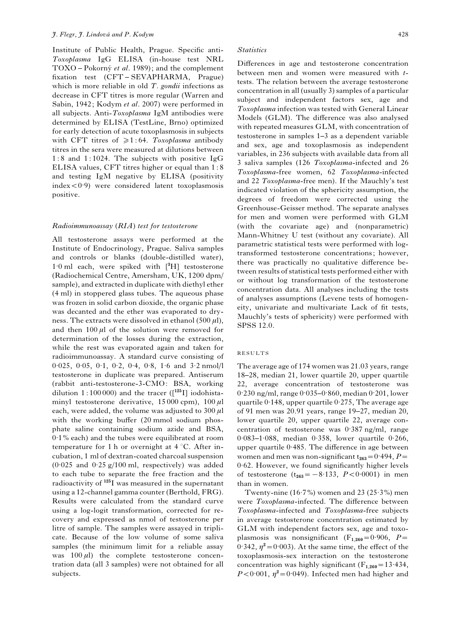Institute of Public Health, Prague. Specific anti-Toxoplasma IgG ELISA (in-house test NRL TOXO – Pokorný et al. 1989); and the complement fixation test (CFT – SEVAPHARMA, Prague) which is more reliable in old  $T$ . gondii infections as decrease in CFT titres is more regular (Warren and Sabin, 1942; Kodym et al. 2007) were performed in all subjects. Anti-Toxoplasma IgM antibodies were determined by ELISA (TestLine, Brno) optimized for early detection of acute toxoplasmosis in subjects with CFT titres of  $\geq 1:64$ . Toxoplasma antibody titres in the sera were measured at dilutions between 1 : 8 and 1 : 1024. The subjects with positive IgG ELISA values, CFT titres higher or equal than 1 : 8 and testing IgM negative by ELISA (positivity index<0. 9) were considered latent toxoplasmosis positive.

# Radioimmunoassay (RIA) test for testosterone

All testosterone assays were performed at the Institute of Endocrinology, Prague. Saliva samples and controls or blanks (double-distilled water), 1. 0 ml each, were spiked with [<sup>3</sup> H] testosterone (Radiochemical Centre, Amersham, UK, 1200 dpm/ sample), and extracted in duplicate with diethyl ether (4 ml) in stoppered glass tubes. The aqueous phase was frozen in solid carbon dioxide, the organic phase was decanted and the ether was evaporated to dryness. The extracts were dissolved in ethanol (500  $\mu$ l), and then  $100 \mu l$  of the solution were removed for determination of the losses during the extraction, while the rest was evaporated again and taken for radioimmunoassay. A standard curve consisting of 0.025, 0.05, 0.1, 0.2, 0.4, 0.8, 1.6 and 3.2 nmol/l testosterone in duplicate was prepared. Antiserum (rabbit anti-testosterone-3-CMO: BSA, working dilution 1:100 000) and the tracer  $($ [ $125$ I] iodohistaminyl testosterone derivative,  $15000$  cpm),  $100 \mu$ l each, were added, the volume was adjusted to  $300 \mu$ l with the working buffer (20 mmol sodium phosphate saline containing sodium azide and BSA, 0. 1% each) and the tubes were equilibrated at room temperature for 1 h or overnight at  $4^{\circ}$ C. After incubation, 1 ml of dextran-coated charcoal suspension (0. 025 and 0. 25 g/100 ml, respectively) was added to each tube to separate the free fraction and the radioactivity of <sup>125</sup>I was measured in the supernatant using a 12-channel gamma counter (Berthold, FRG). Results were calculated from the standard curve using a log-logit transformation, corrected for recovery and expressed as nmol of testosterone per litre of sample. The samples were assayed in triplicate. Because of the low volume of some saliva samples (the minimum limit for a reliable assay was  $100 \,\mu$ l) the complete testosterone concentration data (all 3 samples) were not obtained for all subjects.

#### **Statistics**

Differences in age and testosterone concentration between men and women were measured with ttests. The relation between the average testosterone concentration in all (usually 3) samples of a particular subject and independent factors sex, age and Toxoplasma infection was tested with General Linear Models (GLM). The difference was also analysed with repeated measures GLM, with concentration of testosterone in samples 1–3 as a dependent variable and sex, age and toxoplasmosis as independent variables, in 236 subjects with available data from all 3 saliva samples (126 Toxoplasma-infected and 26 Toxoplasma-free women, 62 Toxoplasma-infected and 22 Toxoplasma-free men). If the Mauchly's test indicated violation of the sphericity assumption, the degrees of freedom were corrected using the Greenhouse-Geisser method. The separate analyses for men and women were performed with GLM (with the covariate age) and (nonparametric) Mann-Whitney U test (without any covariate). All parametric statistical tests were performed with logtransformed testosterone concentrations; however, there was practically no qualitative difference between results of statistical tests performed either with or without log transformation of the testosterone concentration data. All analyses including the tests of analyses assumptions (Levene tests of homogeneity, univariate and multivariate Lack of fit tests, Mauchly's tests of sphericity) were performed with SPSS 12.0.

#### RESULTS

The average age of 174 women was 21.03 years, range 18–28, median 21, lower quartile 20, upper quartile 22, average concentration of testosterone was 0. 230 ng/ml, range 0. 035–0. 860, median 0. 201, lower quartile 0. 148, upper quartile 0. 275, The average age of 91 men was 20.91 years, range 19–27, median 20, lower quartile 20, upper quartile 22, average concentration of testosterone was 0. 387 ng/ml, range 0.083-1.088, median 0.358, lower quartile 0.266, upper quartile 0. 485. The difference in age between women and men was non-significant  $t_{263}=0.494$ ,  $P=$ 0.62. However, we found significantly higher levels of testosterone  $(t_{263} = -8.133, P < 0.0001)$  in men than in women.

Twenty-nine  $(16.7%)$  women and 23  $(25.3%)$  men were Toxoplasma-infected. The difference between Toxoplasma-infected and Toxoplasma-free subjects in average testosterone concentration estimated by GLM with independent factors sex, age and toxoplasmosis was nonsignificant  $(F_{1,260} = 0.906, P =$  $(0.342, \eta^2 = 0.003)$ . At the same time, the effect of the toxoplasmosis-sex interaction on the testosterone concentration was highly significant  $(F_{1,260} = 13.434,$  $P < 0.001$ ,  $\eta^2 = 0.049$ ). Infected men had higher and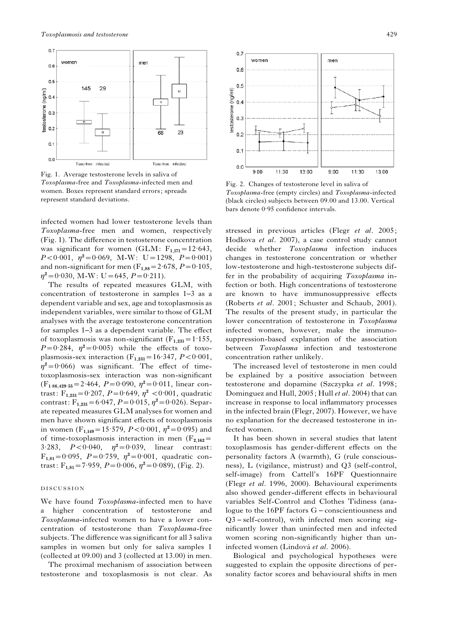

Fig. 1. Average testosterone levels in saliva of Toxoplasma-free and Toxoplasma-infected men and women. Boxes represent standard errors; spreads represent standard deviations.

infected women had lower testosterone levels than Toxoplasma-free men and women, respectively (Fig. 1). The difference in testosterone concentration was significant for women (GLM:  $F_{1,171} = 12.643$ ,  $P < 0.001$ ,  $\eta^2 = 0.069$ , M-W: U = 1298,  $P = 0.001$ ) and non-significant for men  $(F_{1,88} = 2.678, P = 0.105,$  $\eta^2 = 0.030$ , M-W: U = 645,  $P = 0.211$ ).

The results of repeated measures GLM, with concentration of testosterone in samples 1–3 as a dependent variable and sex, age and toxoplasmosis as independent variables, were similar to those of GLM analyses with the average testosterone concentration for samples 1–3 as a dependent variable. The effect of toxoplasmosis was non-significant  $(F_{1,231} = 1.155,$  $P=0.284$ ,  $\eta^2=0.005$ ) while the effects of toxoplasmosis-sex interaction  $(F_{1,231} = 16.347, P < 0.001,$  $\eta^2 = 0.066$ ) was significant. The effect of timetoxoplasmosis-sex interaction was non-significant  $(F_{1.86,429.55} = 2.464, P = 0.090, \eta^2 = 0.011, \text{ linear con-}$ trast:  $F_{1,231} = 0.207$ ,  $P = 0.649$ ,  $\eta^2 < 0.001$ , quadratic contrast:  $F_{1,231} = 6.047$ ,  $P = 0.015$ ,  $\eta^2 = 0.026$ ). Separate repeated measures GLM analyses for women and men have shown significant effects of toxoplasmosis in women (F<sub>1,149</sub> = 15.579, P < 0.001,  $\eta^2$  = 0.095) and of time-toxoplasmosis interaction in men  $(F_{2,162}$ = 3.283,  $P < 0.040$ ,  $\eta^2 = 0.039$ , linear contrast:  $F_{1,81} = 0.095$ ,  $P = 0.759$ ,  $\eta^2 = 0.001$ , quadratic contrast:  $F_{1,81} = 7.959$ ,  $P = 0.006$ ,  $\eta^2 = 0.089$ ), (Fig. 2).

#### DISCUSSION

We have found *Toxoplasma*-infected men to have a higher concentration of testosterone and Toxoplasma-infected women to have a lower concentration of testosterone than Toxoplasma-free subjects. The difference was significant for all 3 saliva samples in women but only for saliva samples 1 (collected at 09.00) and 3 (collected at 13.00) in men.

The proximal mechanism of association between testosterone and toxoplasmosis is not clear. As



Fig. 2. Changes of testosterone level in saliva of Toxoplasma-free (empty circles) and Toxoplasma-infected (black circles) subjects between 09.00 and 13.00. Vertical bars denote 0. 95 confidence intervals.

stressed in previous articles (Flegr et al. 2005; Hodkova et al. 2007), a case control study cannot decide whether Toxoplasma infection induces changes in testosterone concentration or whether low-testosterone and high-testosterone subjects differ in the probability of acquiring Toxoplasma infection or both. High concentrations of testosterone are known to have immunosuppressive effects (Roberts et al. 2001; Schuster and Schaub, 2001). The results of the present study, in particular the lower concentration of testosterone in Toxoplasma infected women, however, make the immunosuppression-based explanation of the association between Toxoplasma infection and testosterone concentration rather unlikely.

The increased level of testosterone in men could be explained by a positive association between testosterone and dopamine (Szczypka et al. 1998; Dominguez and Hull, 2005; Hull et al. 2004) that can increase in response to local inflammatory processes in the infected brain (Flegr, 2007). However, we have no explanation for the decreased testosterone in infected women.

It has been shown in several studies that latent toxoplasmosis has gender-different effects on the personality factors A (warmth), G (rule consciousness), L (vigilance, mistrust) and Q3 (self-control, self-image) from Cattell's 16PF Questionnaire (Flegr et al. 1996, 2000). Behavioural experiments also showed gender-different effects in behavioural variables Self-Control and Clothes Tidiness (analogue to the 16PF factors G – conscientiousness and Q3 – self-control), with infected men scoring significantly lower than uninfected men and infected women scoring non-significantly higher than uninfected women (Lindová et al. 2006).

Biological and psychological hypotheses were suggested to explain the opposite directions of personality factor scores and behavioural shifts in men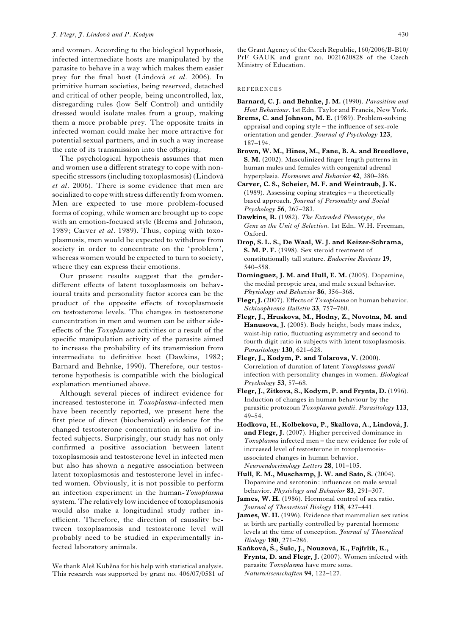and women. According to the biological hypothesis, infected intermediate hosts are manipulated by the parasite to behave in a way which makes them easier prey for the final host (Lindová et al. 2006). In primitive human societies, being reserved, detached and critical of other people, being uncontrolled, lax, disregarding rules (low Self Control) and untidily dressed would isolate males from a group, making them a more probable prey. The opposite traits in infected woman could make her more attractive for potential sexual partners, and in such a way increase the rate of its transmission into the offspring.

The psychological hypothesis assumes that men and women use a different strategy to cope with nonspecific stressors (including toxoplasmosis) (Lindová et al. 2006). There is some evidence that men are socialized to cope with stress differently from women. Men are expected to use more problem-focused forms of coping, while women are brought up to cope with an emotion-focused style (Brems and Johnson, 1989; Carver et al. 1989). Thus, coping with toxoplasmosis, men would be expected to withdraw from society in order to concentrate on the 'problem', whereas women would be expected to turn to society, where they can express their emotions.

Our present results suggest that the genderdifferent effects of latent toxoplasmosis on behavioural traits and personality factor scores can be the product of the opposite effects of toxoplasmosis on testosterone levels. The changes in testosterone concentration in men and women can be either sideeffects of the Toxoplasma activities or a result of the specific manipulation activity of the parasite aimed to increase the probability of its transmission from intermediate to definitive host (Dawkins, 1982; Barnard and Behnke, 1990). Therefore, our testosterone hypothesis is compatible with the biological explanation mentioned above.

Although several pieces of indirect evidence for increased testosterone in Toxoplasma-infected men have been recently reported, we present here the first piece of direct (biochemical) evidence for the changed testosterone concentration in saliva of infected subjects. Surprisingly, our study has not only confirmed a positive association between latent toxoplasmosis and testosterone level in infected men but also has shown a negative association between latent toxoplasmosis and testosterone level in infected women. Obviously, it is not possible to perform an infection experiment in the human-Toxoplasma system. The relatively low incidence of toxoplasmosis would also make a longitudinal study rather inefficient. Therefore, the direction of causality between toxoplasmosis and testosterone level will probably need to be studied in experimentally infected laboratory animals.

We thank Aleš Kuběna for his help with statistical analysis. This research was supported by grant no. 406/07/0581 of

the Grant Agency of the Czech Republic, 160/2006/B-B10/ PrF GAUK and grant no. 0021620828 of the Czech Ministry of Education.

#### **REFERENCES**

- Barnard, C. J. and Behnke, J. M. (1990). Parasitism and Host Behaviour. 1st Edn. Taylor and Francis, New York.
- Brems, C. and Johnson, M. E. (1989). Problem-solving appraisal and coping style – the influence of sex-role orientation and gender. Journal of Psychology 123, 187–194.
- Brown, W. M., Hines, M., Fane, B. A. and Breedlove, S. M. (2002). Masculinized finger length patterns in human males and females with congenital adrenal hyperplasia. Hormones and Behavior 42, 380–386.
- Carver, C. S., Scheier, M. F. and Weintraub, J. K. (1989). Assessing coping strategies – a theoretically based approach. Journal of Personality and Social Psychology 56, 267–283.
- Dawkins, R. (1982). The Extended Phenotype, the Gene as the Unit of Selection. 1st Edn. W.H. Freeman, Oxford.
- Drop, S. L. S., De Waal, W. J. and Keizer-Schrama, S. M. P. F. (1998). Sex steroid treatment of constitutionally tall stature. Endocrine Reviews 19, 540–558.
- Dominguez, J. M. and Hull, E. M. (2005). Dopamine, the medial preoptic area, and male sexual behavior. Physiology and Behavior 86, 356–368.
- Flegr, J. (2007). Effects of Toxoplasma on human behavior. Schizophrenia Bulletin 33, 757–760.
- Flegr, J., Hruskova, M., Hodny, Z., Novotna, M. and Hanusova, J. (2005). Body height, body mass index, waist-hip ratio, fluctuating asymmetry and second to fourth digit ratio in subjects with latent toxoplasmosis. Parasitology 130, 621-628.
- Flegr, J., Kodym, P. and Tolarova, V. (2000). Correlation of duration of latent Toxoplasma gondii infection with personality changes in women. Biological Psychology 53, 57–68.
- Flegr, J., Zitkova, S., Kodym, P. and Frynta, D. (1996). Induction of changes in human behaviour by the parasitic protozoan Toxoplasma gondii. Parasitology 113, 49–54.
- Hodkova, H., Kolbekova, P., Skallova, A., Lindová, J. and Flegr, J. (2007). Higher perceived dominance in Toxoplasma infected men – the new evidence for role of increased level of testosterone in toxoplasmosisassociated changes in human behavior. Neuroendocrinology Letters 28, 101–105.
- Hull, E. M., Muschamp, J. W. and Sato, S. (2004). Dopamine and serotonin: influences on male sexual behavior. Physiology and Behavior 83, 291–307.
- James, W. H. (1986). Hormonal control of sex ratio. Journal of Theoretical Biology 118, 427–441.

James, W. H. (1996). Evidence that mammalian sex ratios at birth are partially controlled by parental hormone levels at the time of conception. Journal of Theoretical Biology 180, 271–286.

Kaňková, Š., Šulc, J., Nouzová, K., Fajfrlík, K., Frynta, D. and Flegr, J. (2007). Women infected with parasite Toxoplasma have more sons. Naturwissenschaften 94, 122–127.